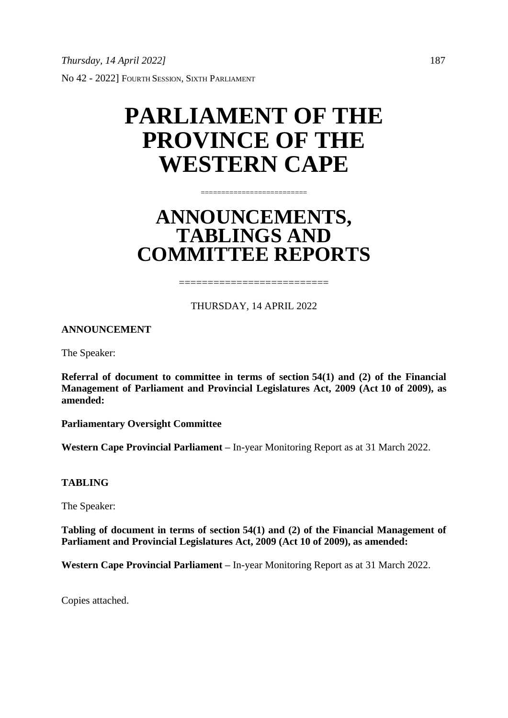### **PARLIAMENT OF THE PROVINCE OF THE WESTERN CAPE**

### **ANNOUNCEMENTS, TABLINGS AND COMMITTEE REPORTS**

==========================

#### THURSDAY, 14 APRIL 2022

===========================

**ANNOUNCEMENT**

The Speaker:

**Referral of document to committee in terms of section 54(1) and (2) of the Financial Management of Parliament and Provincial Legislatures Act, 2009 (Act 10 of 2009), as amended:**

**Parliamentary Oversight Committee**

**Western Cape Provincial Parliament –** In-year Monitoring Report as at 31 March 2022.

#### **TABLING**

The Speaker:

**Tabling of document in terms of section 54(1) and (2) of the Financial Management of Parliament and Provincial Legislatures Act, 2009 (Act 10 of 2009), as amended:**

**Western Cape Provincial Parliament –** In-year Monitoring Report as at 31 March 2022.

Copies attached.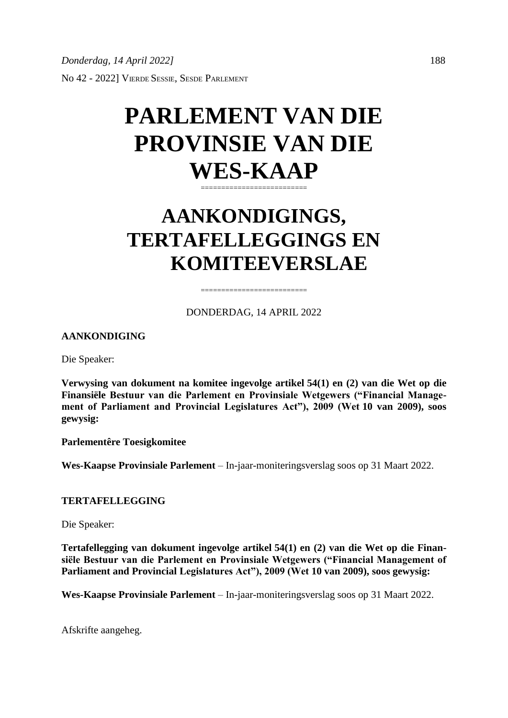# **PARLEMENT VAN DIE PROVINSIE VAN DIE WES-KAAP**

==========================

### **AANKONDIGINGS, TERTAFELLEGGINGS EN KOMITEEVERSLAE**

DONDERDAG, 14 APRIL 2022

========================

#### **AANKONDIGING**

Die Speaker:

**Verwysing van dokument na komitee ingevolge artikel 54(1) en (2) van die Wet op die Finansiële Bestuur van die Parlement en Provinsiale Wetgewers ("Financial Management of Parliament and Provincial Legislatures Act"), 2009 (Wet 10 van 2009), soos gewysig:**

**Parlementêre Toesigkomitee**

**Wes-Kaapse Provinsiale Parlement** – In-jaar-moniteringsverslag soos op 31 Maart 2022.

#### **TERTAFELLEGGING**

Die Speaker:

**Tertafellegging van dokument ingevolge artikel 54(1) en (2) van die Wet op die Finansiële Bestuur van die Parlement en Provinsiale Wetgewers ("Financial Management of Parliament and Provincial Legislatures Act"), 2009 (Wet 10 van 2009), soos gewysig:**

**Wes-Kaapse Provinsiale Parlement** – In-jaar-moniteringsverslag soos op 31 Maart 2022.

Afskrifte aangeheg.